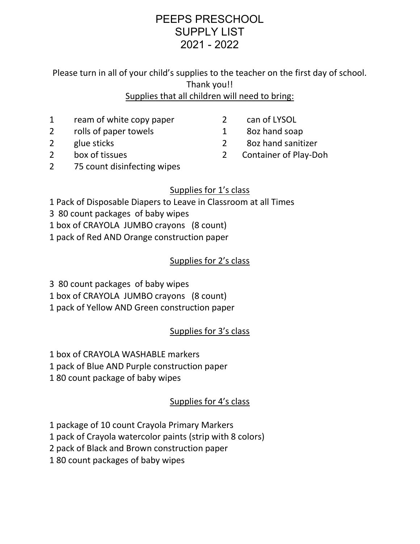# PEEPS PRESCHOOL SUPPLY LIST 2021 - 2022

Please turn in all of your child's supplies to the teacher on the first day of school. Thank you!! Supplies that all children will need to bring:

- 1 ream of white copy paper
- 2 rolls of paper towels
- 2 glue sticks
- 2 box of tissues
- 2 can of LYSOL
- 1 8oz hand soap
- 2 8oz hand sanitizer
- 2 Container of Play-Doh
- 2 75 count disinfecting wipes

### Supplies for 1's class

- 1 Pack of Disposable Diapers to Leave in Classroom at all Times
- 3 80 count packages of baby wipes
- 1 box of CRAYOLA JUMBO crayons (8 count)
- 1 pack of Red AND Orange construction paper

#### Supplies for 2's class

- 3 80 count packages of baby wipes
- 1 box of CRAYOLA JUMBO crayons (8 count)
- 1 pack of Yellow AND Green construction paper

## Supplies for 3's class

- 1 box of CRAYOLA WASHABLE markers
- 1 pack of Blue AND Purple construction paper
- 1 80 count package of baby wipes

#### Supplies for 4's class

- 1 package of 10 count Crayola Primary Markers
- 1 pack of Crayola watercolor paints (strip with 8 colors)
- 2 pack of Black and Brown construction paper
- 1 80 count packages of baby wipes